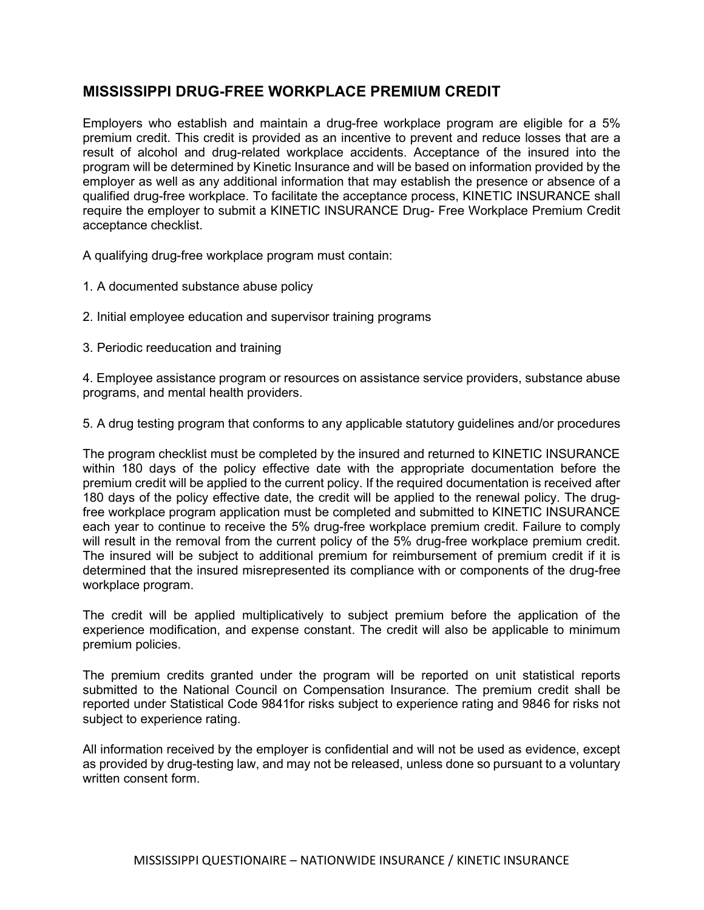## MISSISSIPPI DRUG-FREE WORKPLACE PREMIUM CREDIT

Employers who establish and maintain a drug-free workplace program are eligible for a 5% premium credit. This credit is provided as an incentive to prevent and reduce losses that are a result of alcohol and drug-related workplace accidents. Acceptance of the insured into the program will be determined by Kinetic Insurance and will be based on information provided by the employer as well as any additional information that may establish the presence or absence of a qualified drug-free workplace. To facilitate the acceptance process, KINETIC INSURANCE shall require the employer to submit a KINETIC INSURANCE Drug- Free Workplace Premium Credit acceptance checklist.

A qualifying drug-free workplace program must contain:

- 1. A documented substance abuse policy
- 2. Initial employee education and supervisor training programs
- 3. Periodic reeducation and training

4. Employee assistance program or resources on assistance service providers, substance abuse programs, and mental health providers.

5. A drug testing program that conforms to any applicable statutory guidelines and/or procedures

The program checklist must be completed by the insured and returned to KINETIC INSURANCE within 180 days of the policy effective date with the appropriate documentation before the premium credit will be applied to the current policy. If the required documentation is received after 180 days of the policy effective date, the credit will be applied to the renewal policy. The drugfree workplace program application must be completed and submitted to KINETIC INSURANCE each year to continue to receive the 5% drug-free workplace premium credit. Failure to comply will result in the removal from the current policy of the 5% drug-free workplace premium credit. The insured will be subject to additional premium for reimbursement of premium credit if it is determined that the insured misrepresented its compliance with or components of the drug-free workplace program.

The credit will be applied multiplicatively to subject premium before the application of the experience modification, and expense constant. The credit will also be applicable to minimum premium policies.

The premium credits granted under the program will be reported on unit statistical reports submitted to the National Council on Compensation Insurance. The premium credit shall be reported under Statistical Code 9841for risks subject to experience rating and 9846 for risks not subject to experience rating.

All information received by the employer is confidential and will not be used as evidence, except as provided by drug-testing law, and may not be released, unless done so pursuant to a voluntary written consent form.